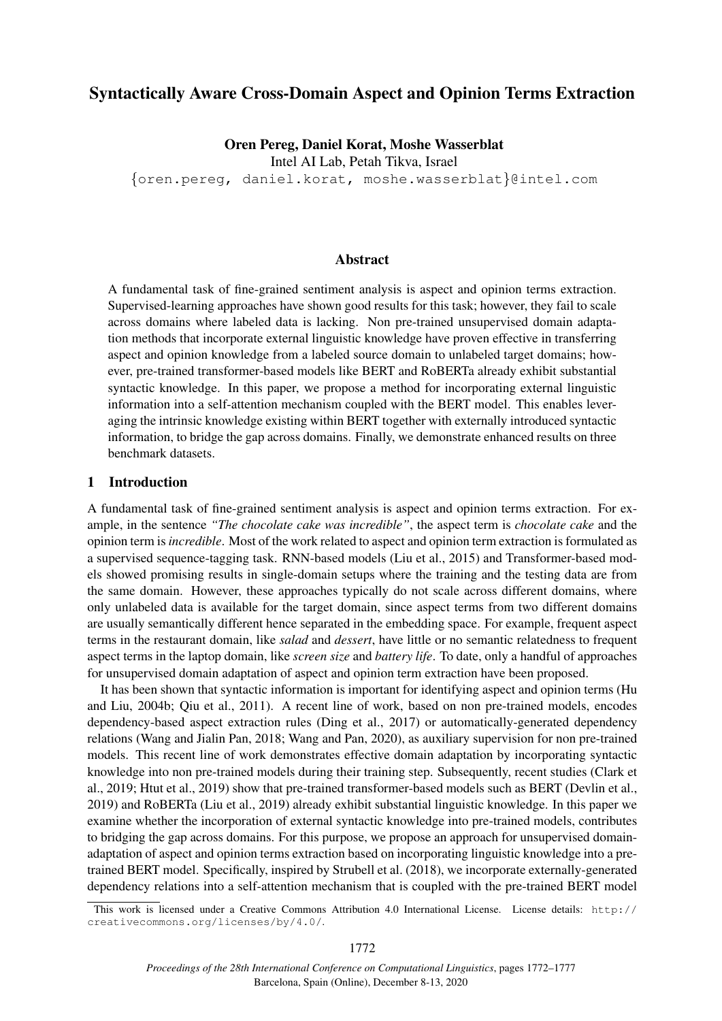# Syntactically Aware Cross-Domain Aspect and Opinion Terms Extraction

Oren Pereg, Daniel Korat, Moshe Wasserblat Intel AI Lab, Petah Tikva, Israel

{oren.pereg, daniel.korat, moshe.wasserblat}@intel.com

#### Abstract

A fundamental task of fine-grained sentiment analysis is aspect and opinion terms extraction. Supervised-learning approaches have shown good results for this task; however, they fail to scale across domains where labeled data is lacking. Non pre-trained unsupervised domain adaptation methods that incorporate external linguistic knowledge have proven effective in transferring aspect and opinion knowledge from a labeled source domain to unlabeled target domains; however, pre-trained transformer-based models like BERT and RoBERTa already exhibit substantial syntactic knowledge. In this paper, we propose a method for incorporating external linguistic information into a self-attention mechanism coupled with the BERT model. This enables leveraging the intrinsic knowledge existing within BERT together with externally introduced syntactic information, to bridge the gap across domains. Finally, we demonstrate enhanced results on three benchmark datasets.

#### 1 Introduction

A fundamental task of fine-grained sentiment analysis is aspect and opinion terms extraction. For example, in the sentence *"The chocolate cake was incredible"*, the aspect term is *chocolate cake* and the opinion term is*incredible*. Most of the work related to aspect and opinion term extraction is formulated as a supervised sequence-tagging task. RNN-based models (Liu et al., 2015) and Transformer-based models showed promising results in single-domain setups where the training and the testing data are from the same domain. However, these approaches typically do not scale across different domains, where only unlabeled data is available for the target domain, since aspect terms from two different domains are usually semantically different hence separated in the embedding space. For example, frequent aspect terms in the restaurant domain, like *salad* and *dessert*, have little or no semantic relatedness to frequent aspect terms in the laptop domain, like *screen size* and *battery life*. To date, only a handful of approaches for unsupervised domain adaptation of aspect and opinion term extraction have been proposed.

It has been shown that syntactic information is important for identifying aspect and opinion terms (Hu and Liu, 2004b; Qiu et al., 2011). A recent line of work, based on non pre-trained models, encodes dependency-based aspect extraction rules (Ding et al., 2017) or automatically-generated dependency relations (Wang and Jialin Pan, 2018; Wang and Pan, 2020), as auxiliary supervision for non pre-trained models. This recent line of work demonstrates effective domain adaptation by incorporating syntactic knowledge into non pre-trained models during their training step. Subsequently, recent studies (Clark et al., 2019; Htut et al., 2019) show that pre-trained transformer-based models such as BERT (Devlin et al., 2019) and RoBERTa (Liu et al., 2019) already exhibit substantial linguistic knowledge. In this paper we examine whether the incorporation of external syntactic knowledge into pre-trained models, contributes to bridging the gap across domains. For this purpose, we propose an approach for unsupervised domainadaptation of aspect and opinion terms extraction based on incorporating linguistic knowledge into a pretrained BERT model. Specifically, inspired by Strubell et al. (2018), we incorporate externally-generated dependency relations into a self-attention mechanism that is coupled with the pre-trained BERT model

This work is licensed under a Creative Commons Attribution 4.0 International License. License details: http:// creativecommons.org/licenses/by/4.0/.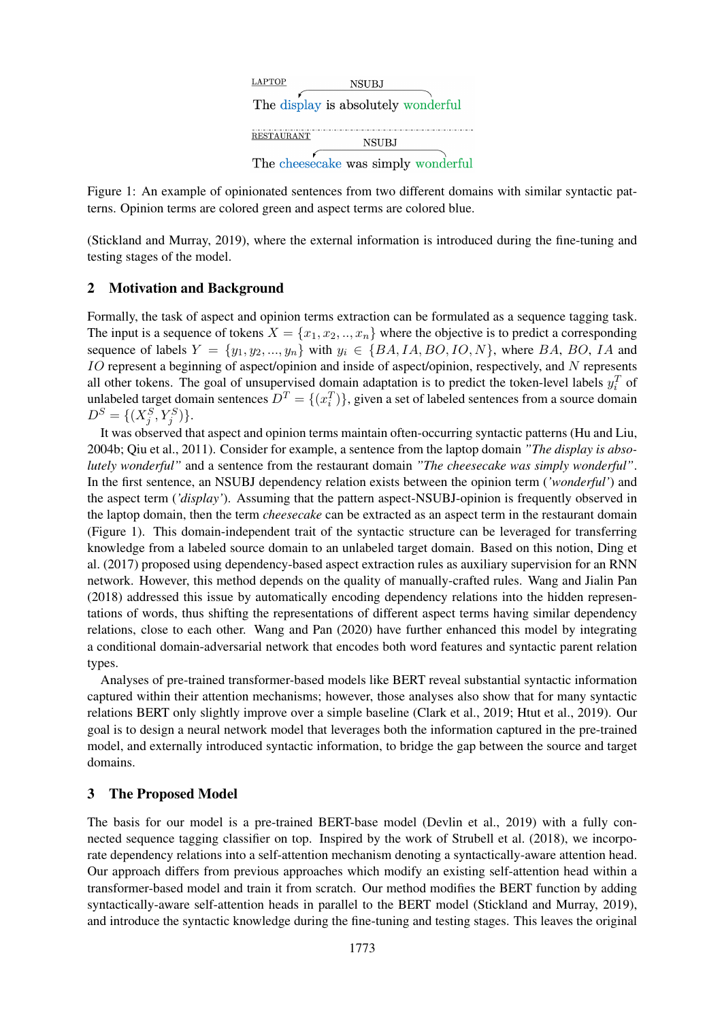

Figure 1: An example of opinionated sentences from two different domains with similar syntactic patterns. Opinion terms are colored green and aspect terms are colored blue.

(Stickland and Murray, 2019), where the external information is introduced during the fine-tuning and testing stages of the model.

## 2 Motivation and Background

Formally, the task of aspect and opinion terms extraction can be formulated as a sequence tagging task. The input is a sequence of tokens  $X = \{x_1, x_2, ..., x_n\}$  where the objective is to predict a corresponding sequence of labels  $Y = \{y_1, y_2, ..., y_n\}$  with  $y_i \in \{BA, IA, BO, IO, N\}$ , where BA, BO, IA and IO represent a beginning of aspect/opinion and inside of aspect/opinion, respectively, and N represents all other tokens. The goal of unsupervised domain adaptation is to predict the token-level labels  $y_i^T$  of unlabeled target domain sentences  $D^T = \{(x_i^T)\}\$ , given a set of labeled sentences from a source domain  $D^{S} = \{(X_j^{S}, Y_j^{S})\}.$ 

It was observed that aspect and opinion terms maintain often-occurring syntactic patterns (Hu and Liu, 2004b; Qiu et al., 2011). Consider for example, a sentence from the laptop domain *"The display is absolutely wonderful"* and a sentence from the restaurant domain *"The cheesecake was simply wonderful"*. In the first sentence, an NSUBJ dependency relation exists between the opinion term (*'wonderful'*) and the aspect term (*'display'*). Assuming that the pattern aspect-NSUBJ-opinion is frequently observed in the laptop domain, then the term *cheesecake* can be extracted as an aspect term in the restaurant domain (Figure 1). This domain-independent trait of the syntactic structure can be leveraged for transferring knowledge from a labeled source domain to an unlabeled target domain. Based on this notion, Ding et al. (2017) proposed using dependency-based aspect extraction rules as auxiliary supervision for an RNN network. However, this method depends on the quality of manually-crafted rules. Wang and Jialin Pan (2018) addressed this issue by automatically encoding dependency relations into the hidden representations of words, thus shifting the representations of different aspect terms having similar dependency relations, close to each other. Wang and Pan (2020) have further enhanced this model by integrating a conditional domain-adversarial network that encodes both word features and syntactic parent relation types.

Analyses of pre-trained transformer-based models like BERT reveal substantial syntactic information captured within their attention mechanisms; however, those analyses also show that for many syntactic relations BERT only slightly improve over a simple baseline (Clark et al., 2019; Htut et al., 2019). Our goal is to design a neural network model that leverages both the information captured in the pre-trained model, and externally introduced syntactic information, to bridge the gap between the source and target domains.

## 3 The Proposed Model

The basis for our model is a pre-trained BERT-base model (Devlin et al., 2019) with a fully connected sequence tagging classifier on top. Inspired by the work of Strubell et al. (2018), we incorporate dependency relations into a self-attention mechanism denoting a syntactically-aware attention head. Our approach differs from previous approaches which modify an existing self-attention head within a transformer-based model and train it from scratch. Our method modifies the BERT function by adding syntactically-aware self-attention heads in parallel to the BERT model (Stickland and Murray, 2019), and introduce the syntactic knowledge during the fine-tuning and testing stages. This leaves the original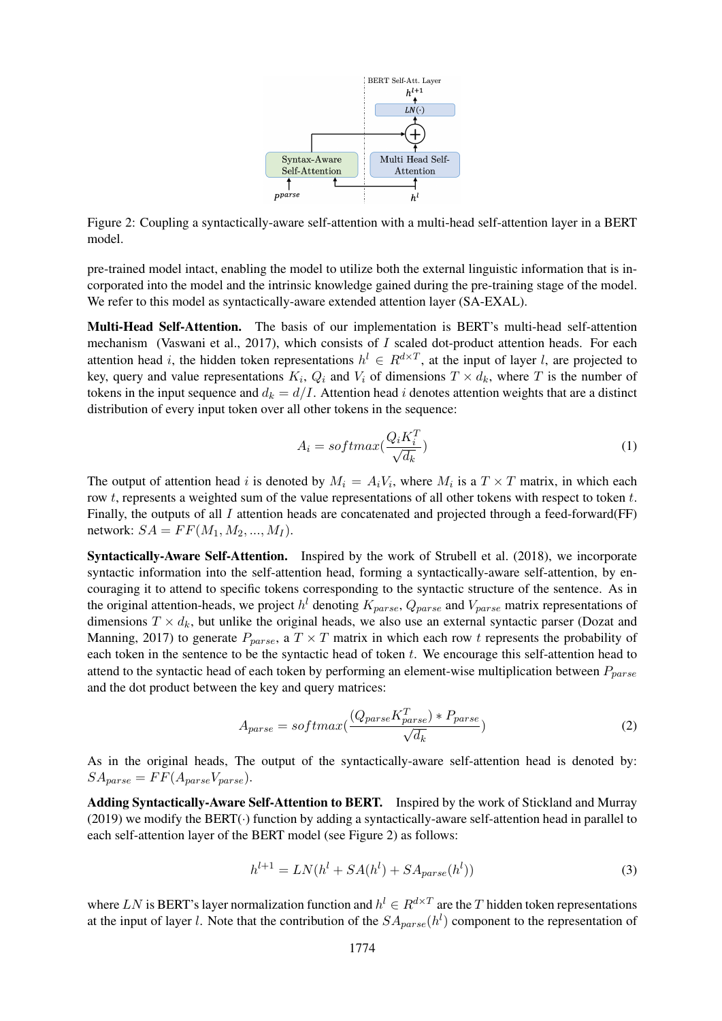

Figure 2: Coupling a syntactically-aware self-attention with a multi-head self-attention layer in a BERT model.

pre-trained model intact, enabling the model to utilize both the external linguistic information that is incorporated into the model and the intrinsic knowledge gained during the pre-training stage of the model. We refer to this model as syntactically-aware extended attention layer (SA-EXAL).

Multi-Head Self-Attention. The basis of our implementation is BERT's multi-head self-attention mechanism (Vaswani et al., 2017), which consists of  $I$  scaled dot-product attention heads. For each attention head i, the hidden token representations  $h^l \in R^{d \times T}$ , at the input of layer l, are projected to key, query and value representations  $K_i$ ,  $Q_i$  and  $V_i$  of dimensions  $T \times d_k$ , where T is the number of tokens in the input sequence and  $d_k = d/I$ . Attention head i denotes attention weights that are a distinct distribution of every input token over all other tokens in the sequence:

$$
A_i = softmax(\frac{Q_i K_i^T}{\sqrt{d_k}})
$$
\n(1)

The output of attention head i is denoted by  $M_i = A_i V_i$ , where  $M_i$  is a  $T \times T$  matrix, in which each row t, represents a weighted sum of the value representations of all other tokens with respect to token  $t$ . Finally, the outputs of all I attention heads are concatenated and projected through a feed-forward( $FF$ ) network:  $SA = FF(M_1, M_2, ..., M_I)$ .

Syntactically-Aware Self-Attention. Inspired by the work of Strubell et al. (2018), we incorporate syntactic information into the self-attention head, forming a syntactically-aware self-attention, by encouraging it to attend to specific tokens corresponding to the syntactic structure of the sentence. As in the original attention-heads, we project  $h^l$  denoting  $K_{parse}$ ,  $Q_{parse}$  and  $V_{parse}$  matrix representations of dimensions  $T \times d_k$ , but unlike the original heads, we also use an external syntactic parser (Dozat and Manning, 2017) to generate  $P_{parse}$ , a  $T \times T$  matrix in which each row t represents the probability of each token in the sentence to be the syntactic head of token t. We encourage this self-attention head to attend to the syntactic head of each token by performing an element-wise multiplication between  $P_{parse}$ and the dot product between the key and query matrices:

$$
A_{parse} = softmax(\frac{(Q_{parse}K_{parse}^T) * P_{parse}}{\sqrt{d_k}})
$$
\n(2)

As in the original heads, The output of the syntactically-aware self-attention head is denoted by:  $SA_{parse} = FF(A_{parse}V_{parse}).$ 

Adding Syntactically-Aware Self-Attention to BERT. Inspired by the work of Stickland and Murray (2019) we modify the BERT(·) function by adding a syntactically-aware self-attention head in parallel to each self-attention layer of the BERT model (see Figure 2) as follows:

$$
h^{l+1} = LN(h^l + SA(h^l) + SA_{parse}(h^l))
$$
\n<sup>(3)</sup>

where LN is BERT's layer normalization function and  $h^l \in R^{d \times T}$  are the T hidden token representations at the input of layer *l*. Note that the contribution of the  $SA_{parse}(h^{l})$  component to the representation of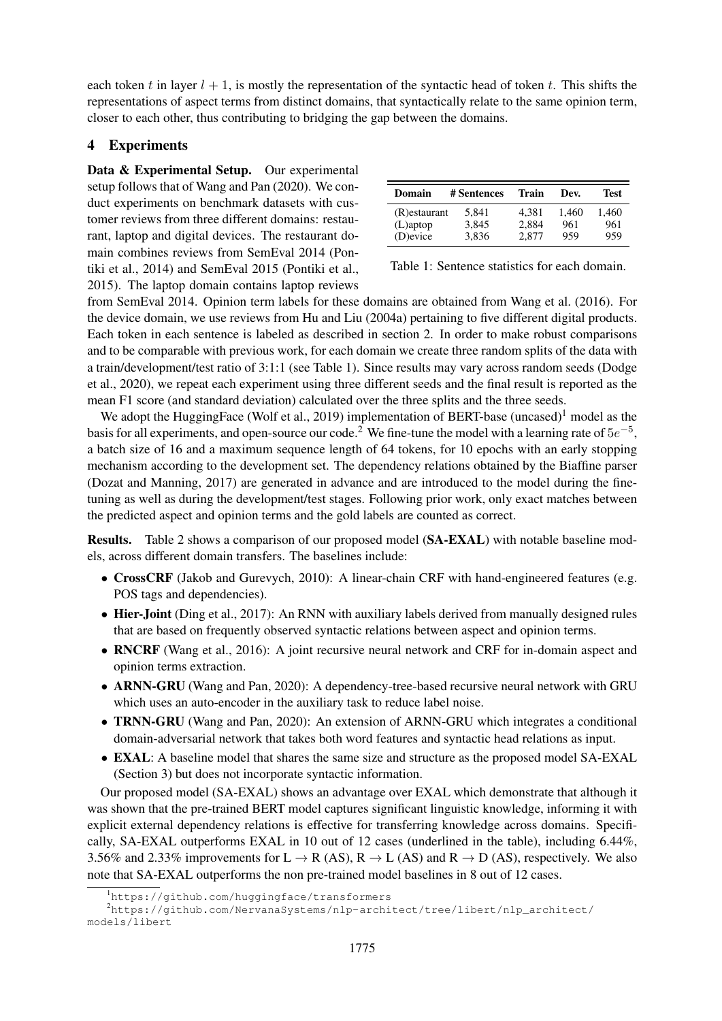each token t in layer  $l + 1$ , is mostly the representation of the syntactic head of token t. This shifts the representations of aspect terms from distinct domains, that syntactically relate to the same opinion term, closer to each other, thus contributing to bridging the gap between the domains.

# 4 Experiments

Data & Experimental Setup. Our experimental setup follows that of Wang and Pan (2020). We conduct experiments on benchmark datasets with customer reviews from three different domains: restaurant, laptop and digital devices. The restaurant domain combines reviews from SemEval 2014 (Pontiki et al., 2014) and SemEval 2015 (Pontiki et al., 2015). The laptop domain contains laptop reviews

| Domain        | # Sentences | <b>Train</b> | Dev.  | Test  |
|---------------|-------------|--------------|-------|-------|
| (R) estaurant | 5.841       | 4.381        | 1.460 | 1.460 |
| $(L)$ aptop   | 3.845       | 2.884        | 961   | 961   |
| (D)evice      | 3.836       | 2.877        | 959   | 959   |

Table 1: Sentence statistics for each domain.

from SemEval 2014. Opinion term labels for these domains are obtained from Wang et al. (2016). For the device domain, we use reviews from Hu and Liu (2004a) pertaining to five different digital products. Each token in each sentence is labeled as described in section 2. In order to make robust comparisons and to be comparable with previous work, for each domain we create three random splits of the data with a train/development/test ratio of 3:1:1 (see Table 1). Since results may vary across random seeds (Dodge et al., 2020), we repeat each experiment using three different seeds and the final result is reported as the mean F1 score (and standard deviation) calculated over the three splits and the three seeds.

We adopt the HuggingFace (Wolf et al., 2019) implementation of BERT-base (uncased)<sup>1</sup> model as the basis for all experiments, and open-source our code.<sup>2</sup> We fine-tune the model with a learning rate of  $5e^{-5}$ , a batch size of 16 and a maximum sequence length of 64 tokens, for 10 epochs with an early stopping mechanism according to the development set. The dependency relations obtained by the Biaffine parser (Dozat and Manning, 2017) are generated in advance and are introduced to the model during the finetuning as well as during the development/test stages. Following prior work, only exact matches between the predicted aspect and opinion terms and the gold labels are counted as correct.

Results. Table 2 shows a comparison of our proposed model (SA-EXAL) with notable baseline models, across different domain transfers. The baselines include:

- CrossCRF (Jakob and Gurevych, 2010): A linear-chain CRF with hand-engineered features (e.g. POS tags and dependencies).
- Hier-Joint (Ding et al., 2017): An RNN with auxiliary labels derived from manually designed rules that are based on frequently observed syntactic relations between aspect and opinion terms.
- RNCRF (Wang et al., 2016): A joint recursive neural network and CRF for in-domain aspect and opinion terms extraction.
- ARNN-GRU (Wang and Pan, 2020): A dependency-tree-based recursive neural network with GRU which uses an auto-encoder in the auxiliary task to reduce label noise.
- TRNN-GRU (Wang and Pan, 2020): An extension of ARNN-GRU which integrates a conditional domain-adversarial network that takes both word features and syntactic head relations as input.
- EXAL: A baseline model that shares the same size and structure as the proposed model SA-EXAL (Section 3) but does not incorporate syntactic information.

Our proposed model (SA-EXAL) shows an advantage over EXAL which demonstrate that although it was shown that the pre-trained BERT model captures significant linguistic knowledge, informing it with explicit external dependency relations is effective for transferring knowledge across domains. Specifically, SA-EXAL outperforms EXAL in 10 out of 12 cases (underlined in the table), including 6.44%, 3.56% and 2.33% improvements for  $L \to R$  (AS),  $R \to L$  (AS) and  $R \to D$  (AS), respectively. We also note that SA-EXAL outperforms the non pre-trained model baselines in 8 out of 12 cases.

<sup>&</sup>lt;sup>1</sup>https://github.com/huggingface/transformers

<sup>2</sup>https://github.com/NervanaSystems/nlp-architect/tree/libert/nlp\_architect/ models/libert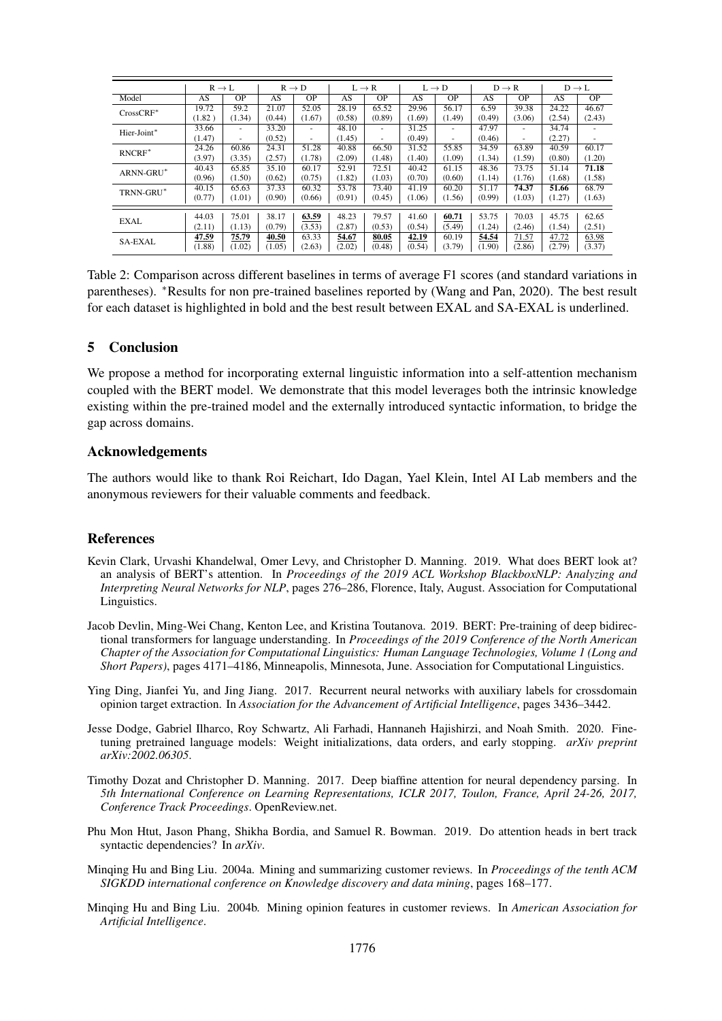|                | $R \rightarrow L$ |           |        | $R \rightarrow D$        |        | $L \rightarrow R$        |        | $L \rightarrow D$ |        | $D \rightarrow R$ |        | $D \rightarrow L$ |
|----------------|-------------------|-----------|--------|--------------------------|--------|--------------------------|--------|-------------------|--------|-------------------|--------|-------------------|
| Model          | AS                | <b>OP</b> | AS     | <b>OP</b>                | AS     | <b>OP</b>                | AS     | <b>OP</b>         | AS     | <b>OP</b>         | AS     | <b>OP</b>         |
| CrossCRF*      | 19.72             | 59.2      | 21.07  | 52.05                    | 28.19  | 65.52                    | 29.96  | 56.17             | 6.59   | 39.38             | 24.22  | 46.67             |
|                | (1.82)            | (1.34)    | (0.44) | (1.67)                   | (0.58) | (0.89)                   | (1.69) | (1.49)            | (0.49) | (3.06)            | (2.54) | (2.43)            |
| Hier-Joint*    | 33.66             | $\sim$    | 33.20  | $\overline{\phantom{a}}$ | 48.10  | ٠                        | 31.25  | ٠                 | 47.97  | ٠                 | 34.74  |                   |
|                | (1.47)            | $\sim$    | (0.52) | ۰                        | (1.45) | $\overline{\phantom{a}}$ | (0.49) | ۰                 | (0.46) | ٠                 | (2.27) | ٠                 |
| $RNCRF^*$      | 24.26             | 60.86     | 24.31  | 51.28                    | 40.88  | 66.50                    | 31.52  | 55.85             | 34.59  | 63.89             | 40.59  | 60.17             |
|                | (3.97)            | (3.35)    | (2.57) | (1.78)                   | (2.09) | (1.48)                   | (1.40) | (1.09)            | (1.34) | (1.59)            | (0.80) | (1.20)            |
| ARNN-GRU*      | 40.43             | 65.85     | 35.10  | 60.17                    | 52.91  | 72.51                    | 40.42  | 61.15             | 48.36  | 73.75             | 51.14  | 71.18             |
|                | (0.96)            | (1.50)    | (0.62) | (0.75)                   | (1.82) | (1.03)                   | (0.70) | (0.60)            | (1.14) | (1.76)            | (1.68) | (1.58)            |
| TRNN-GRU*      | 40.15             | 65.63     | 37.33  | 60.32                    | 53.78  | 73.40                    | 41.19  | 60.20             | 51.17  | 74.37             | 51.66  | 68.79             |
|                | (0.77)            | (1.01)    | (0.90) | (0.66)                   | (0.91) | (0.45)                   | (1.06) | (1.56)            | (0.99) | (1.03)            | (1.27) | (1.63)            |
|                |                   |           |        |                          |        |                          |        |                   |        |                   |        |                   |
| <b>EXAL</b>    | 44.03             | 75.01     | 38.17  | 63.59                    | 48.23  | 79.57                    | 41.60  | 60.71             | 53.75  | 70.03             | 45.75  | 62.65             |
|                | (2.11)            | (1.13)    | (0.79) | (3.53)                   | (2.87) | (0.53)                   | (0.54) | (5.49)            | (1.24) | (2.46)            | (1.54) | (2.51)            |
| <b>SA-EXAL</b> | 47.59             | 75.79     | 40.50  | 63.33                    | 54.67  | 80.05                    | 42.19  | 60.19             | 54.54  | 71.57             | 47.72  | 63.98             |
|                | (1.88)            | (1.02)    | (1.05) | (2.63)                   | (2.02) | (0.48)                   | (0.54) | (3.79)            | (1.90) | (2.86)            | (2.79) | (3.37)            |

Table 2: Comparison across different baselines in terms of average F1 scores (and standard variations in parentheses). <sup>∗</sup>Results for non pre-trained baselines reported by (Wang and Pan, 2020). The best result for each dataset is highlighted in bold and the best result between EXAL and SA-EXAL is underlined.

## 5 Conclusion

We propose a method for incorporating external linguistic information into a self-attention mechanism coupled with the BERT model. We demonstrate that this model leverages both the intrinsic knowledge existing within the pre-trained model and the externally introduced syntactic information, to bridge the gap across domains.

#### Acknowledgements

The authors would like to thank Roi Reichart, Ido Dagan, Yael Klein, Intel AI Lab members and the anonymous reviewers for their valuable comments and feedback.

## References

- Kevin Clark, Urvashi Khandelwal, Omer Levy, and Christopher D. Manning. 2019. What does BERT look at? an analysis of BERT's attention. In *Proceedings of the 2019 ACL Workshop BlackboxNLP: Analyzing and Interpreting Neural Networks for NLP*, pages 276–286, Florence, Italy, August. Association for Computational Linguistics.
- Jacob Devlin, Ming-Wei Chang, Kenton Lee, and Kristina Toutanova. 2019. BERT: Pre-training of deep bidirectional transformers for language understanding. In *Proceedings of the 2019 Conference of the North American Chapter of the Association for Computational Linguistics: Human Language Technologies, Volume 1 (Long and Short Papers)*, pages 4171–4186, Minneapolis, Minnesota, June. Association for Computational Linguistics.
- Ying Ding, Jianfei Yu, and Jing Jiang. 2017. Recurrent neural networks with auxiliary labels for crossdomain opinion target extraction. In *Association for the Advancement of Artificial Intelligence*, pages 3436–3442.
- Jesse Dodge, Gabriel Ilharco, Roy Schwartz, Ali Farhadi, Hannaneh Hajishirzi, and Noah Smith. 2020. Finetuning pretrained language models: Weight initializations, data orders, and early stopping. *arXiv preprint arXiv:2002.06305*.
- Timothy Dozat and Christopher D. Manning. 2017. Deep biaffine attention for neural dependency parsing. In *5th International Conference on Learning Representations, ICLR 2017, Toulon, France, April 24-26, 2017, Conference Track Proceedings*. OpenReview.net.
- Phu Mon Htut, Jason Phang, Shikha Bordia, and Samuel R. Bowman. 2019. Do attention heads in bert track syntactic dependencies? In *arXiv*.
- Minqing Hu and Bing Liu. 2004a. Mining and summarizing customer reviews. In *Proceedings of the tenth ACM SIGKDD international conference on Knowledge discovery and data mining*, pages 168–177.
- Minqing Hu and Bing Liu. 2004b. Mining opinion features in customer reviews. In *American Association for Artificial Intelligence*.